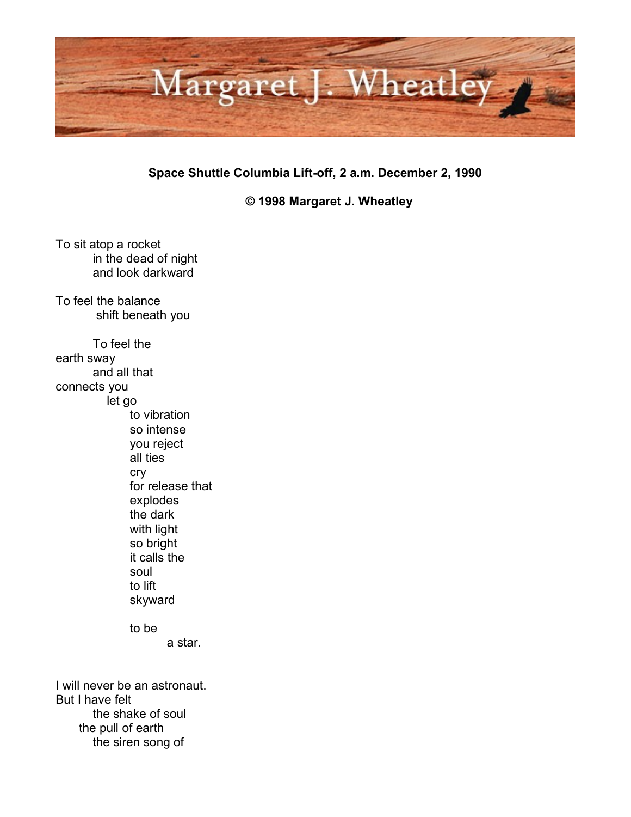

**Space Shuttle Columbia Lift-off, 2 a.m. December 2, 1990**

**© 1998 Margaret J. Wheatley**

To sit atop a rocket in the dead of night and look darkward To feel the balance shift beneath you To feel the earth sway and all that connects you let go to vibration so intense you reject all ties cry for release that explodes the dark with light so bright it calls the soul to lift skyward to be a star. I will never be an astronaut. But I have felt

the shake of soul the pull of earth the siren song of